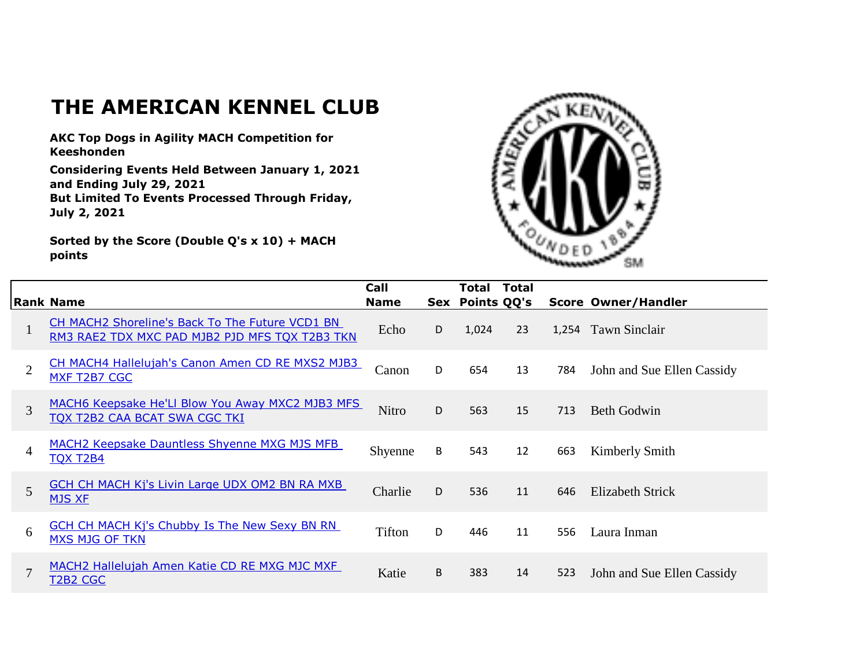## **THE AMERICAN KENNEL CLUB**

**AKC Top Dogs in Agility MACH Competition for Keeshonden**

**Considering Events Held Between January 1, 2021 and Ending July 29, 2021 But Limited To Events Processed Through Friday, July 2, 2021**

**Sorted by the Score (Double Q's x 10) + MACH points**



|                | <b>Rank Name</b>                                                                                  | Call<br><b>Name</b> | Sex | <b>Total</b><br><b>Points QQ's</b> | <b>Total</b> |     | <b>Score Owner/Handler</b> |
|----------------|---------------------------------------------------------------------------------------------------|---------------------|-----|------------------------------------|--------------|-----|----------------------------|
| $\mathbf{I}$   | CH MACH2 Shoreline's Back To The Future VCD1 BN<br>RM3 RAE2 TDX MXC PAD MJB2 PJD MFS TQX T2B3 TKN | Echo                | D   | 1,024                              | 23           |     | 1,254 Tawn Sinclair        |
| $\overline{2}$ | CH MACH4 Hallelujah's Canon Amen CD RE MXS2 MJB3<br>MXF T2B7 CGC                                  | Canon               | D   | 654                                | 13           | 784 | John and Sue Ellen Cassidy |
| 3              | MACH6 Keepsake He'Ll Blow You Away MXC2 MJB3 MFS<br>TQX T2B2 CAA BCAT SWA CGC TKI                 | <b>Nitro</b>        | D   | 563                                | 15           | 713 | <b>Beth Godwin</b>         |
| 4              | <b>MACH2 Keepsake Dauntless Shyenne MXG MJS MFB</b><br><b>TQX T2B4</b>                            | Shyenne             | B   | 543                                | 12           | 663 | Kimberly Smith             |
| 5              | <b>GCH CH MACH Kj's Livin Large UDX OM2 BN RA MXB</b><br><b>MJS XF</b>                            | Charlie             | D   | 536                                | 11           | 646 | Elizabeth Strick           |
| 6              | <b>GCH CH MACH Kj's Chubby Is The New Sexy BN RN</b><br><b>MXS MJG OF TKN</b>                     | Tifton              | D   | 446                                | 11           | 556 | Laura Inman                |
| $\mathcal{I}$  | MACH2 Hallelujah Amen Katie CD RE MXG MJC MXF<br>T2B2 CGC                                         | Katie               | B   | 383                                | 14           | 523 | John and Sue Ellen Cassidy |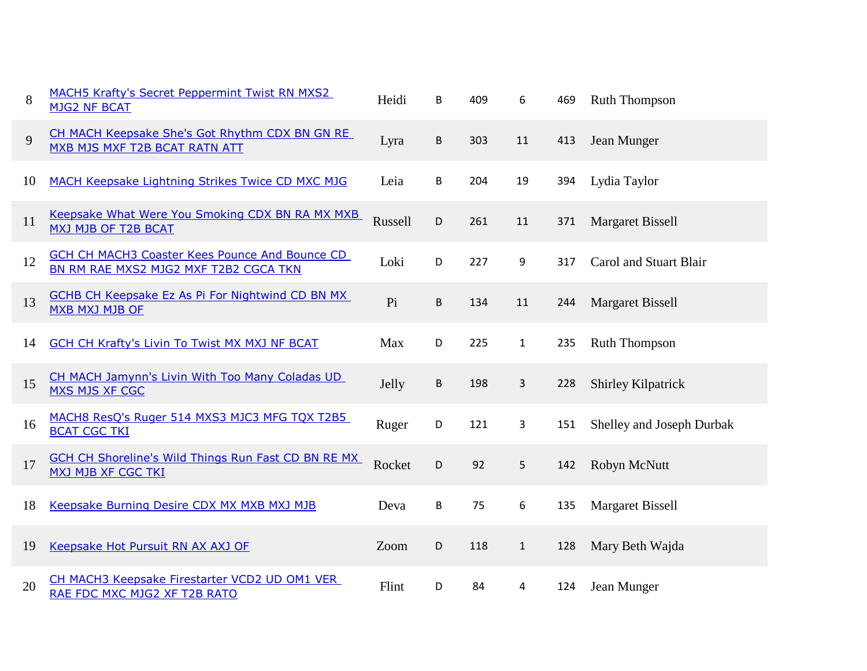| 8  | <b>MACH5 Krafty's Secret Peppermint Twist RN MXS2</b><br><b>MJG2 NF BCAT</b>                   | Heidi   | B | 409 | 6            | 469 | <b>Ruth Thompson</b>      |
|----|------------------------------------------------------------------------------------------------|---------|---|-----|--------------|-----|---------------------------|
| 9  | CH MACH Keepsake She's Got Rhythm CDX BN GN RE<br>MXB MJS MXF T2B BCAT RATN ATT                | Lyra    | B | 303 | 11           | 413 | Jean Munger               |
| 10 | <b>MACH Keepsake Lightning Strikes Twice CD MXC MJG</b>                                        | Leia    | B | 204 | 19           | 394 | Lydia Taylor              |
| 11 | Keepsake What Were You Smoking CDX BN RA MX MXB<br>MXJ MJB OF T2B BCAT                         | Russell | D | 261 | 11           | 371 | <b>Margaret Bissell</b>   |
| 12 | <b>GCH CH MACH3 Coaster Kees Pounce And Bounce CD</b><br>BN RM RAE MXS2 MJG2 MXF T2B2 CGCA TKN | Loki    | D | 227 | 9            | 317 | Carol and Stuart Blair    |
| 13 | <b>GCHB CH Keepsake Ez As Pi For Nightwind CD BN MX</b><br><b>MXB MXJ MJB OF</b>               | Pi      | B | 134 | 11           | 244 | <b>Margaret Bissell</b>   |
| 14 | <b>GCH CH Krafty's Livin To Twist MX MXJ NF BCAT</b>                                           | Max     | D | 225 | $\mathbf{1}$ | 235 | <b>Ruth Thompson</b>      |
| 15 | CH MACH Jamynn's Livin With Too Many Coladas UD<br><b>MXS MJS XF CGC</b>                       | Jelly   | В | 198 | 3            | 228 | Shirley Kilpatrick        |
| 16 | MACH8 ResQ's Ruger 514 MXS3 MJC3 MFG TQX T2B5<br><b>BCAT CGC TKI</b>                           | Ruger   | D | 121 | 3            | 151 | Shelley and Joseph Durbak |
| 17 | <b>GCH CH Shoreline's Wild Things Run Fast CD BN RE MX</b><br><b>MXJ MJB XF CGC TKI</b>        | Rocket  | D | 92  | 5            | 142 | Robyn McNutt              |
| 18 | Keepsake Burning Desire CDX MX MXB MXJ MJB                                                     | Deva    | B | 75  | 6            | 135 | <b>Margaret Bissell</b>   |
| 19 | Keepsake Hot Pursuit RN AX AXJ OF                                                              | Zoom    | D | 118 | $\mathbf{1}$ | 128 | Mary Beth Wajda           |
| 20 | CH MACH3 Keepsake Firestarter VCD2 UD OM1 VER<br>RAE FDC MXC MJG2 XF T2B RATO                  | Flint   | D | 84  | 4            | 124 | Jean Munger               |